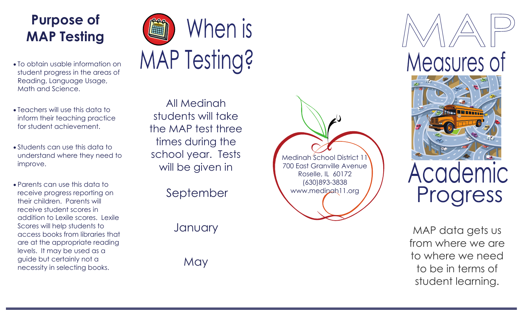## **Purpose of MAP Testing**

- To obtain usable information on student progress in the areas of Reading, Language Usage, Math and Science.
- Teachers will use this data to inform their teaching practice for student achievement.
- Students can use this data to understand where they need to improve.
- Parents can use this data to receive progress reporting on their children. Parents will receive student scores in addition to Lexile scores. Lexile Scores will help students to access books from libraries that are at the appropriate reading levels. It may be used as a guide but certainly not a necessity in selecting books.

When is MAP Testing?

All Medinah students will take the MAP test three times during the school year. Tests will be given in

September

**January** 

**May** 

Medinah School District 1 700 East Granville Avenue Roselle, IL 60172 (630)893-3838 www.medinah11.org



MAP data gets us from where we are to where we need to be in terms of student learning.